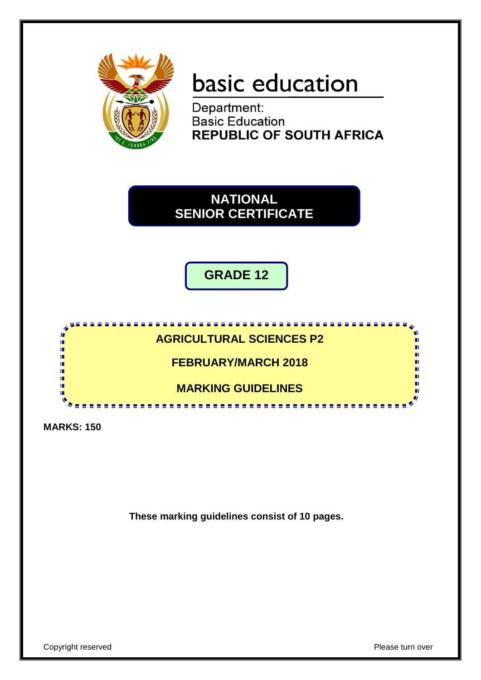

# basic education

Department: **Basic Education REPUBLIC OF SOUTH AFRICA** 

**NATIONAL SENIOR CERTIFICATE**

**GRADE 12**



**MARKS: 150**

**These marking guidelines consist of 10 pages.**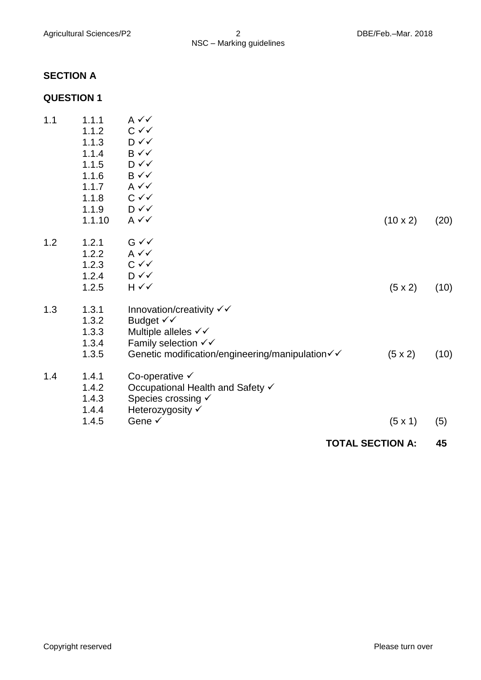# **SECTION A**

# **QUESTION 1**

|     |                                                                                         |                                                                                                                                                                                | <b>TOTAL SECTION A:</b> | 45   |  |
|-----|-----------------------------------------------------------------------------------------|--------------------------------------------------------------------------------------------------------------------------------------------------------------------------------|-------------------------|------|--|
|     | 1.4.4<br>1.4.5                                                                          | Heterozygosity √<br>Gene √                                                                                                                                                     | $(5 \times 1)$          | (5)  |  |
| 1.4 | 1.4.1<br>1.4.2<br>1.4.3                                                                 | Co-operative $\checkmark$<br>Occupational Health and Safety √<br>Species crossing $\checkmark$                                                                                 |                         |      |  |
| 1.3 | 1.3.1<br>1.3.2<br>1.3.3<br>1.3.4<br>1.3.5                                               | Innovation/creativity $\checkmark\checkmark$<br>Budget √√<br>Multiple alleles √√<br>Family selection $\checkmark\checkmark$<br>Genetic modification/engineering/manipulation√√ | $(5 \times 2)$          | (10) |  |
| 1.2 | 1.2.1<br>1.2.2<br>1.2.3<br>1.2.4<br>1.2.5                                               | $G \vee V$<br>$A \vee C$<br>$C \vee C$<br>$D \vee \vee$<br>$H \vee V$                                                                                                          | $(5 \times 2)$          | (10) |  |
| 1.1 | 1.1.1<br>1.1.2<br>1.1.3<br>1.1.4<br>1.1.5<br>1.1.6<br>1.1.7<br>1.1.8<br>1.1.9<br>1.1.10 | $A \vee C$<br>$C \vee C$<br>D√√<br>$B \vee \vee$<br>$D \vee \vee$<br>$B \vee \vee$<br>$A \vee C$<br>$C \vee C$<br>$D \vee \vee$<br>$A \vee C$                                  | $(10 \times 2)$         | (20) |  |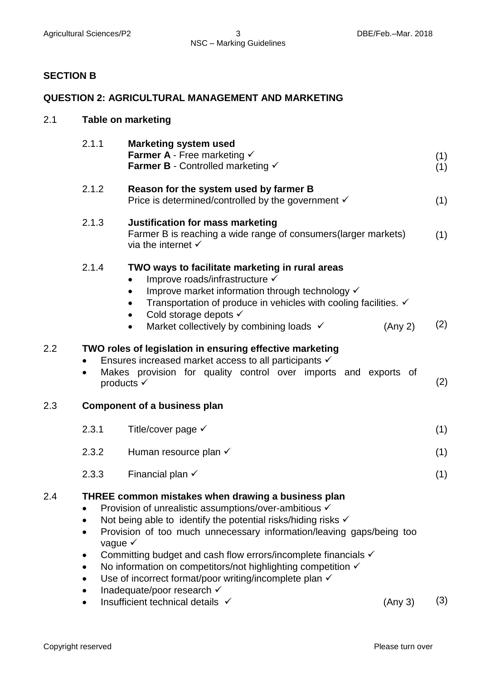#### Agricultural Sciences/P2 3 3 DBE/Feb.–Mar. 2018 NSC – Marking Guidelines

# **SECTION B**

#### **QUESTION 2: AGRICULTURAL MANAGEMENT AND MARKETING**

| 2.1 |                                                                                                                                                                                                                                                                                                                                                                                                                                                                                                                              | <b>Table on marketing</b>                                                                                                                                                                                                                                                                                                       |            |  |  |  |  |
|-----|------------------------------------------------------------------------------------------------------------------------------------------------------------------------------------------------------------------------------------------------------------------------------------------------------------------------------------------------------------------------------------------------------------------------------------------------------------------------------------------------------------------------------|---------------------------------------------------------------------------------------------------------------------------------------------------------------------------------------------------------------------------------------------------------------------------------------------------------------------------------|------------|--|--|--|--|
|     | 2.1.1                                                                                                                                                                                                                                                                                                                                                                                                                                                                                                                        | <b>Marketing system used</b><br><b>Farmer A</b> - Free marketing $\checkmark$<br>Farmer B - Controlled marketing √                                                                                                                                                                                                              | (1)<br>(1) |  |  |  |  |
|     | 2.1.2                                                                                                                                                                                                                                                                                                                                                                                                                                                                                                                        | Reason for the system used by farmer B<br>Price is determined/controlled by the government $\checkmark$                                                                                                                                                                                                                         | (1)        |  |  |  |  |
|     | 2.1.3                                                                                                                                                                                                                                                                                                                                                                                                                                                                                                                        | <b>Justification for mass marketing</b><br>Farmer B is reaching a wide range of consumers (larger markets)<br>via the internet $\checkmark$                                                                                                                                                                                     | (1)        |  |  |  |  |
|     | 2.1.4                                                                                                                                                                                                                                                                                                                                                                                                                                                                                                                        | TWO ways to facilitate marketing in rural areas<br>Improve roads/infrastructure √<br>Improve market information through technology V<br>$\bullet$<br>Transportation of produce in vehicles with cooling facilities. ✓<br>Cold storage depots √<br>$\bullet$<br>Market collectively by combining loads √<br>(Any 2)<br>$\bullet$ | (2)        |  |  |  |  |
| 2.2 | $\bullet$                                                                                                                                                                                                                                                                                                                                                                                                                                                                                                                    | TWO roles of legislation in ensuring effective marketing<br>Ensures increased market access to all participants √<br>Makes provision for quality control over imports and exports of<br>products $\checkmark$                                                                                                                   | (2)        |  |  |  |  |
| 2.3 |                                                                                                                                                                                                                                                                                                                                                                                                                                                                                                                              | <b>Component of a business plan</b>                                                                                                                                                                                                                                                                                             |            |  |  |  |  |
|     | 2.3.1                                                                                                                                                                                                                                                                                                                                                                                                                                                                                                                        | Title/cover page $\checkmark$                                                                                                                                                                                                                                                                                                   | (1)        |  |  |  |  |
|     | 2.3.2                                                                                                                                                                                                                                                                                                                                                                                                                                                                                                                        | Human resource plan $\checkmark$                                                                                                                                                                                                                                                                                                | (1)        |  |  |  |  |
|     | 2.3.3                                                                                                                                                                                                                                                                                                                                                                                                                                                                                                                        | Financial plan $\checkmark$                                                                                                                                                                                                                                                                                                     | (1)        |  |  |  |  |
| 2.4 | THREE common mistakes when drawing a business plan<br>Provision of unrealistic assumptions/over-ambitious √<br>Not being able to identify the potential risks/hiding risks $\checkmark$<br>Provision of too much unnecessary information/leaving gaps/being too<br>vague $\checkmark$<br>Committing budget and cash flow errors/incomplete financials √<br>No information on competitors/not highlighting competition √<br>$\bullet$<br>Use of incorrect format/poor writing/incomplete plan √<br>Inadequate/poor research √ |                                                                                                                                                                                                                                                                                                                                 |            |  |  |  |  |

• Insufficient technical details  $\checkmark$  (Any 3) (3)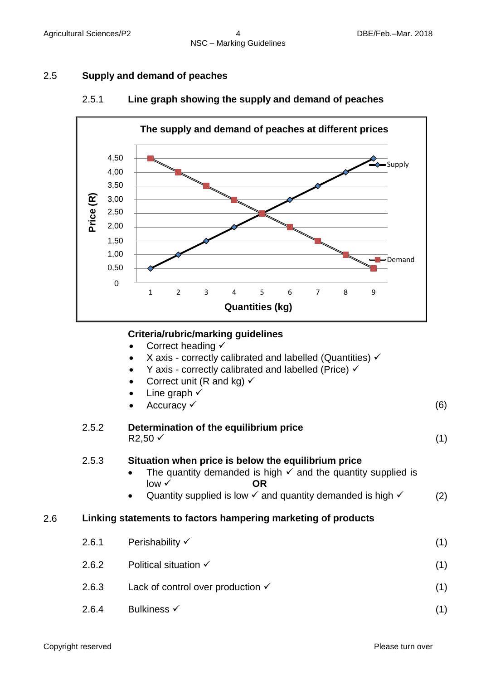#### 2.5 **Supply and demand of peaches**



#### 2.5.1 **Line graph showing the supply and demand of peaches**

#### **Criteria/rubric/marking guidelines**

|  |  | Correct heading √ |  |
|--|--|-------------------|--|
|--|--|-------------------|--|

- X axis correctly calibrated and labelled (Quantities)  $\checkmark$
- $\bullet$  Y axis correctly calibrated and labelled (Price)  $\checkmark$
- Correct unit (R and kg)  $\checkmark$
- Line graph  $\checkmark$
- $Accuracy \checkmark$  (6)

## 2.5.2 **Determination of the equilibrium price**   $R2,50 \checkmark$  (1)

#### 2.5.3 **Situation when price is below the equilibrium price**

- The quantity demanded is high  $\checkmark$  and the quantity supplied is low **✓** OR
- Quantity supplied is low  $\checkmark$  and quantity demanded is high  $\checkmark$  (2)

#### 2.6 **Linking statements to factors hampering marketing of products**

| 2.6.1 | Perishability √                              | (1) |
|-------|----------------------------------------------|-----|
| 2.6.2 | Political situation $\checkmark$             | (1) |
| 2.6.3 | Lack of control over production $\checkmark$ | (1) |
| 2.6.4 | <b>Bulkiness √</b>                           |     |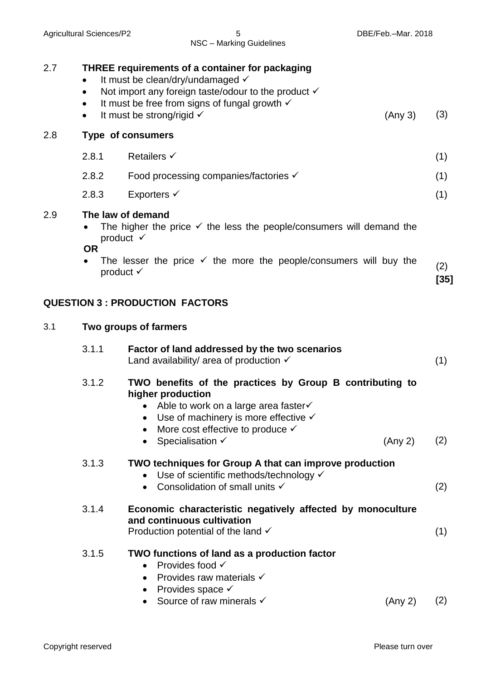| 2.7 | $\bullet$<br>$\bullet$<br>$\bullet$ | <b>THREE requirements of a container for packaging</b><br>It must be clean/dry/undamaged √<br>Not import any foreign taste/odour to the product $\checkmark$<br>It must be free from signs of fungal growth $\checkmark$                                 |         |               |
|-----|-------------------------------------|----------------------------------------------------------------------------------------------------------------------------------------------------------------------------------------------------------------------------------------------------------|---------|---------------|
|     | $\bullet$                           | It must be strong/rigid $\checkmark$                                                                                                                                                                                                                     | (Any 3) | (3)           |
| 2.8 |                                     | <b>Type of consumers</b>                                                                                                                                                                                                                                 |         |               |
|     | 2.8.1                               | <b>Retailers √</b>                                                                                                                                                                                                                                       |         | (1)           |
|     | 2.8.2                               | Food processing companies/factories √                                                                                                                                                                                                                    |         | (1)           |
|     | 2.8.3                               | Exporters $\checkmark$                                                                                                                                                                                                                                   |         | (1)           |
| 2.9 | ٠<br><b>OR</b><br>$\bullet$         | The law of demand<br>The higher the price $\checkmark$ the less the people/consumers will demand the<br>product $\checkmark$<br>The lesser the price $\checkmark$ the more the people/consumers will buy the<br>product $\checkmark$                     |         | (2)<br>$[35]$ |
|     |                                     | <b>QUESTION 3 : PRODUCTION FACTORS</b>                                                                                                                                                                                                                   |         |               |
| 3.1 |                                     | Two groups of farmers                                                                                                                                                                                                                                    |         |               |
|     | 3.1.1                               | Factor of land addressed by the two scenarios<br>Land availability/ area of production $\checkmark$                                                                                                                                                      |         | (1)           |
|     | 3.1.2                               | TWO benefits of the practices by Group B contributing to<br>higher production<br>Able to work on a large area faster√<br>Use of machinery is more effective $\checkmark$<br>$\bullet$<br>More cost effective to produce $\checkmark$<br>Specialisation √ | (Any 2) | (2)           |
|     | 3.1.3                               | TWO techniques for Group A that can improve production<br>Use of scientific methods/technology √<br>Consolidation of small units √                                                                                                                       |         | (2)           |
|     | 3.1.4                               | Economic characteristic negatively affected by monoculture<br>and continuous cultivation<br>Production potential of the land $\checkmark$                                                                                                                |         | (1)           |
|     | 3.1.5                               | TWO functions of land as a production factor<br>Provides food √<br>Provides raw materials $\checkmark$<br>Provides space $\checkmark$                                                                                                                    |         |               |
|     |                                     |                                                                                                                                                                                                                                                          |         |               |

Agricultural Sciences/P2 6 0 5 5 DBE/Feb.–Mar. 2018 NSC – Marking Guidelines

• Source of raw minerals  $\checkmark$  (Any 2) (2)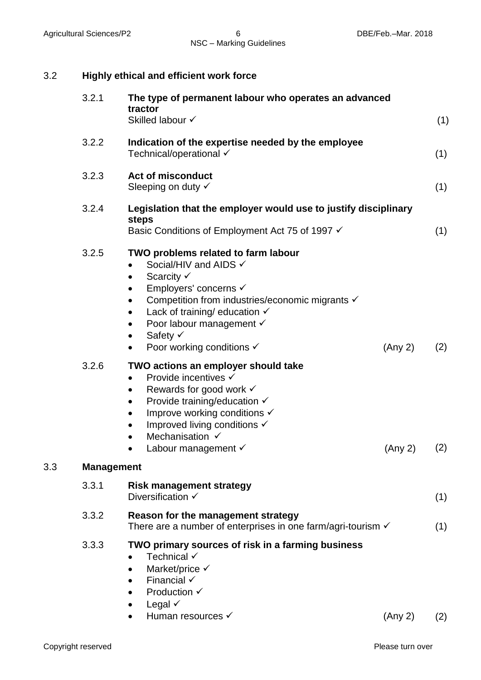| 3.2 |                   | <b>Highly ethical and efficient work force</b>                                                                                                                                                                                                                                                                                                                        |         |     |
|-----|-------------------|-----------------------------------------------------------------------------------------------------------------------------------------------------------------------------------------------------------------------------------------------------------------------------------------------------------------------------------------------------------------------|---------|-----|
|     | 3.2.1             | The type of permanent labour who operates an advanced<br>tractor<br>Skilled labour √                                                                                                                                                                                                                                                                                  |         | (1) |
|     | 3.2.2             | Indication of the expertise needed by the employee<br>Technical/operational √                                                                                                                                                                                                                                                                                         |         | (1) |
|     | 3.2.3             | <b>Act of misconduct</b><br>Sleeping on duty √                                                                                                                                                                                                                                                                                                                        |         | (1) |
|     | 3.2.4             | Legislation that the employer would use to justify disciplinary<br>steps<br>Basic Conditions of Employment Act 75 of 1997 √                                                                                                                                                                                                                                           |         | (1) |
|     | 3.2.5             | TWO problems related to farm labour<br>Social/HIV and AIDS √<br>$\bullet$<br>Scarcity V<br>$\bullet$<br>Employers' concerns √<br>Competition from industries/economic migrants √<br>$\bullet$<br>Lack of training/ education $\checkmark$<br>$\bullet$<br>Poor labour management √<br>٠<br>Safety √<br>$\bullet$<br>Poor working conditions $\checkmark$<br>$\bullet$ | (Any 2) | (2) |
|     | 3.2.6             | TWO actions an employer should take<br>Provide incentives √<br>Rewards for good work $\checkmark$<br>$\bullet$<br>Provide training/education √<br>$\bullet$<br>Improve working conditions V<br>$\bullet$<br>Improved living conditions V<br>$\bullet$<br>Mechanisation √<br>Labour management $\checkmark$                                                            | (Any 2) | (2) |
| 3.3 | <b>Management</b> |                                                                                                                                                                                                                                                                                                                                                                       |         |     |
|     | 3.3.1             | <b>Risk management strategy</b><br>Diversification $\checkmark$                                                                                                                                                                                                                                                                                                       |         | (1) |
|     | 3.3.2             | Reason for the management strategy<br>There are a number of enterprises in one farm/agri-tourism $\checkmark$                                                                                                                                                                                                                                                         |         | (1) |
|     | 3.3.3             | TWO primary sources of risk in a farming business<br>Technical √<br>Market/price √<br>Financial $\checkmark$<br>Production $\checkmark$<br>Legal $\checkmark$<br>Human resources √                                                                                                                                                                                    | (Any 2) | (2) |

Copyright reserved **Please turn over Please turn over**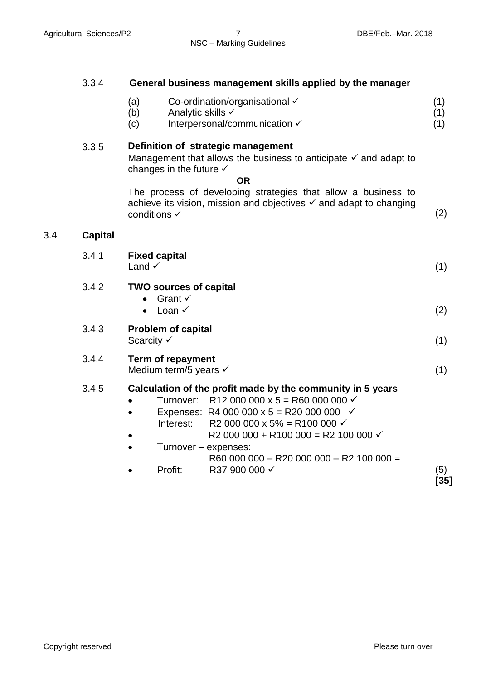(1) (1)

|  | 3.3.4 | General business management skills applied by the manager |
|--|-------|-----------------------------------------------------------|
|--|-------|-----------------------------------------------------------|

- (a) Co-ordination/organisational (1)
- (b) Analytic skills √
- (c) Interpersonal/communication  $\checkmark$

# 3.3.5 **Definition of strategic management**

Management that allows the business to anticipate  $\checkmark$  and adapt to changes in the future  $\checkmark$ 

#### **OR**

The process of developing strategies that allow a business to achieve its vision, mission and objectives  $\checkmark$  and adapt to changing conditions  $\checkmark$  (2)

#### 3.4 **Capital**

| 3.4.1 | <b>Fixed capital</b><br>Land $\checkmark$                                                                                                                                                                                                                                                                                                                                            | (1)         |
|-------|--------------------------------------------------------------------------------------------------------------------------------------------------------------------------------------------------------------------------------------------------------------------------------------------------------------------------------------------------------------------------------------|-------------|
| 3.4.2 | <b>TWO sources of capital</b><br>Grant $\checkmark$<br>Loan $\checkmark$                                                                                                                                                                                                                                                                                                             | (2)         |
| 3.4.3 | <b>Problem of capital</b><br>Scarcity $\checkmark$                                                                                                                                                                                                                                                                                                                                   | (1)         |
| 3.4.4 | <b>Term of repayment</b><br>Medium term/5 years $\checkmark$                                                                                                                                                                                                                                                                                                                         | (1)         |
| 3.4.5 | Calculation of the profit made by the community in 5 years<br>Turnover: R12 000 000 x 5 = R60 000 000 $\checkmark$<br>Expenses: R4 000 000 x 5 = R20 000 000 $\checkmark$<br>R2 000 000 x 5% = R100 000 $\checkmark$<br>Interest:<br>R2 000 000 + R100 000 = R2 100 000 $\checkmark$<br>Turnover - expenses:<br>R60 000 000 - R20 000 000 - R2 100 000 =<br>R37 900 000 √<br>Profit: | (5)<br>[35] |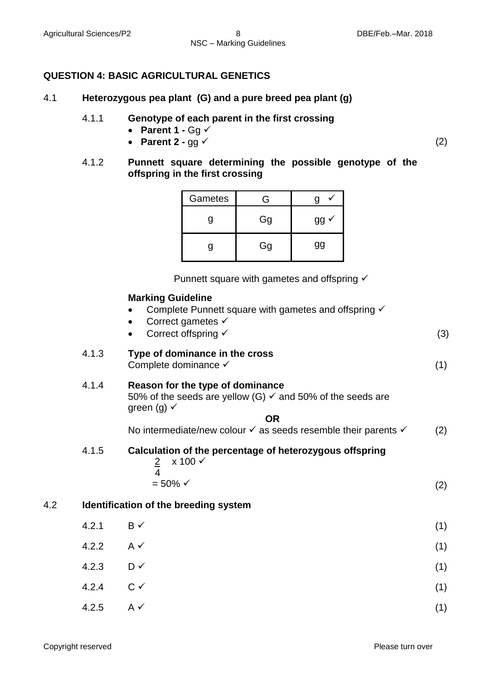# **QUESTION 4: BASIC AGRICULTURAL GENETICS**

- 4.1 **Heterozygous pea plant (G) and a pure breed pea plant (g)** 
	- 4.1.1 **Genotype of each parent in the first crossing**
		- Parent  $1 Gq \checkmark$
		- **•** Parent  $2 qq \checkmark$  (2)
	- 4.1.2 **Punnett square determining the possible genotype of the offspring in the first crossing**

| Gametes | ੨  |    |
|---------|----|----|
|         | Gg |    |
|         | Gg | gg |

Punnett square with gametes and offspring 

#### **Marking Guideline**

- Complete Punnett square with gametes and offspring  $\checkmark$
- 4.1.3 **Type of dominance in the cross**  Complete dominance  $\checkmark$  (1) 4.1.4 **Reason for the type of dominance**  • Correct gametes  $\checkmark$ Correct offspring  $\checkmark$  (3)
	- 50% of the seeds are yellow (G)  $\checkmark$  and 50% of the seeds are green (g)  $\checkmark$

**OR**

- No intermediate/new colour  $\checkmark$  as seeds resemble their parents  $\checkmark$  (2) 4.1.5 **Calculation of the percentage of heterozygous offspring**   $2 \times 100 \checkmark$  $\overline{4}$  $= 50\%$   $\checkmark$  (2) 4.2 **Identification of the breeding system**   $4.2.1$  B  $\checkmark$  (1)
	- $4.2.2$  A  $\checkmark$  (1) 4.2.3 D (1)  $4.2.4$  C  $\checkmark$  (1) 4.2.5 A (1)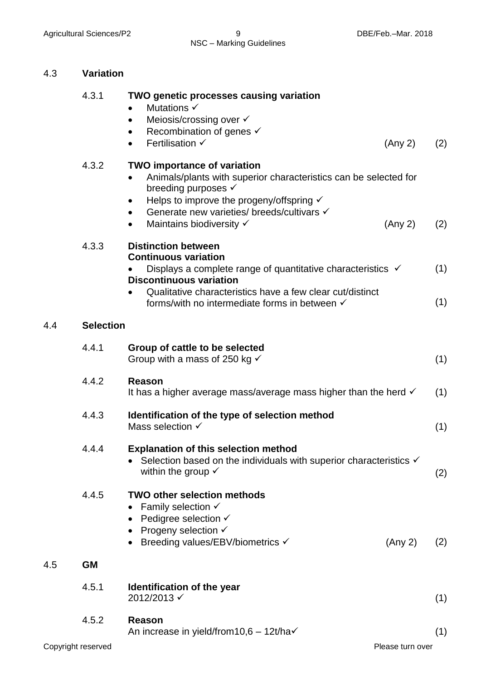# NSC – Marking Guidelines

# 4.3 **Variation**

|     | 4.3.1            | <b>TWO genetic processes causing variation</b><br>Mutations $\checkmark$<br>Meiosis/crossing over √<br>Recombination of genes √<br>٠<br>Fertilisation √<br>(Any 2)<br>$\bullet$                                                                                                                                       | (2)        |
|-----|------------------|-----------------------------------------------------------------------------------------------------------------------------------------------------------------------------------------------------------------------------------------------------------------------------------------------------------------------|------------|
|     | 4.3.2            | <b>TWO importance of variation</b><br>Animals/plants with superior characteristics can be selected for<br>$\bullet$<br>breeding purposes √<br>Helps to improve the progeny/offspring $\checkmark$<br>٠<br>Generate new varieties/ breeds/cultivars √<br>$\bullet$<br>Maintains biodiversity √<br>(Any 2)<br>$\bullet$ | (2)        |
|     | 4.3.3            | <b>Distinction between</b><br><b>Continuous variation</b><br>Displays a complete range of quantitative characteristics $\checkmark$<br><b>Discontinuous variation</b><br>Qualitative characteristics have a few clear cut/distinct<br>forms/with no intermediate forms in between √                                   | (1)<br>(1) |
| 4.4 | <b>Selection</b> |                                                                                                                                                                                                                                                                                                                       |            |
|     | 4.4.1            | Group of cattle to be selected<br>Group with a mass of 250 kg $\checkmark$                                                                                                                                                                                                                                            | (1)        |
|     | 4.4.2            | Reason<br>It has a higher average mass/average mass higher than the herd $\checkmark$                                                                                                                                                                                                                                 | (1)        |
|     | 4.4.3            | Identification of the type of selection method<br>Mass selection $\checkmark$                                                                                                                                                                                                                                         | (1)        |
|     | 4.4.4            | <b>Explanation of this selection method</b><br>Selection based on the individuals with superior characteristics √<br>within the group $\checkmark$                                                                                                                                                                    | (2)        |
|     | 4.4.5            | <b>TWO other selection methods</b><br>Family selection $\checkmark$<br>Pedigree selection $\checkmark$<br>Progeny selection $\checkmark$<br>Breeding values/EBV/biometrics √<br>(Any 2)                                                                                                                               | (2)        |
| 4.5 | <b>GM</b>        |                                                                                                                                                                                                                                                                                                                       |            |
|     | 4.5.1            | Identification of the year<br>2012/2013 √                                                                                                                                                                                                                                                                             | (1)        |
|     | 4.5.2            | <b>Reason</b><br>An increase in yield/from10,6 - 12t/ha√                                                                                                                                                                                                                                                              | (1)        |